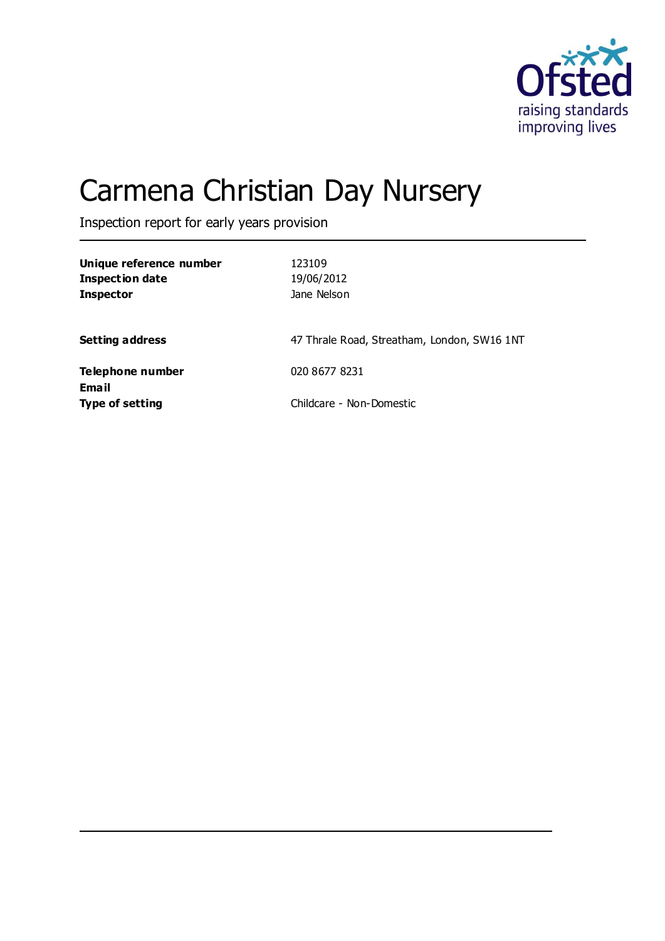

# Carmena Christian Day Nursery

Inspection report for early years provision

| Unique reference number<br><b>Inspection date</b><br><b>Inspector</b> | 123109<br>19/06/2012<br>Jane Nelson         |
|-----------------------------------------------------------------------|---------------------------------------------|
| <b>Setting address</b>                                                | 47 Thrale Road, Streatham, London, SW16 1NT |
| Telephone number<br><b>Email</b>                                      | 020 8677 8231                               |
| <b>Type of setting</b>                                                | Childcare - Non-Domestic                    |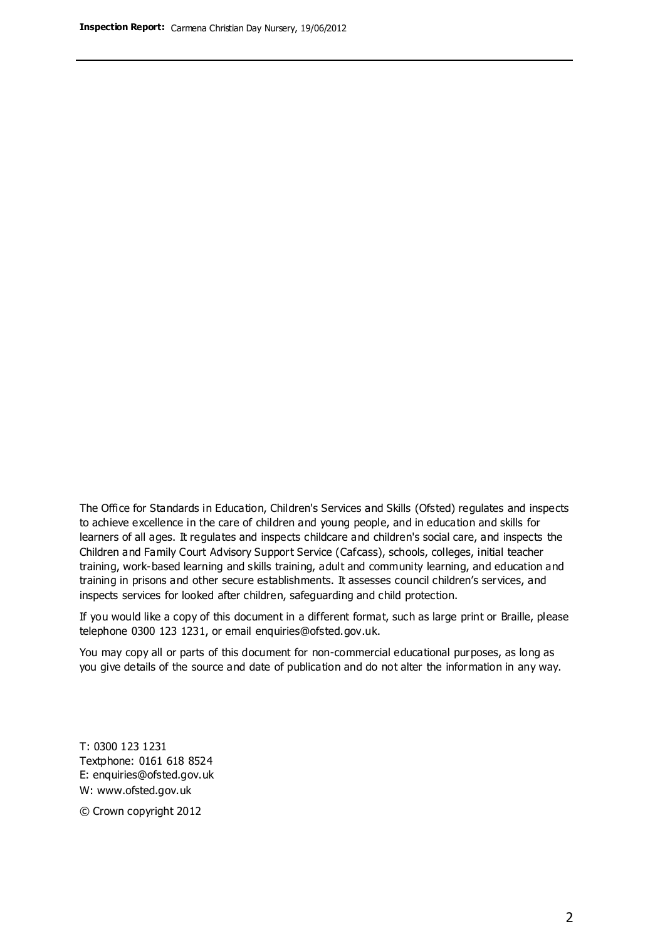The Office for Standards in Education, Children's Services and Skills (Ofsted) regulates and inspects to achieve excellence in the care of children and young people, and in education and skills for learners of all ages. It regulates and inspects childcare and children's social care, and inspects the Children and Family Court Advisory Support Service (Cafcass), schools, colleges, initial teacher training, work-based learning and skills training, adult and community learning, and education and training in prisons and other secure establishments. It assesses council children's services, and inspects services for looked after children, safeguarding and child protection.

If you would like a copy of this document in a different format, such as large print or Braille, please telephone 0300 123 1231, or email enquiries@ofsted.gov.uk.

You may copy all or parts of this document for non-commercial educational purposes, as long as you give details of the source and date of publication and do not alter the information in any way.

T: 0300 123 1231 Textphone: 0161 618 8524 E: enquiries@ofsted.gov.uk W: [www.ofsted.gov.uk](http://www.ofsted.gov.uk/)

© Crown copyright 2012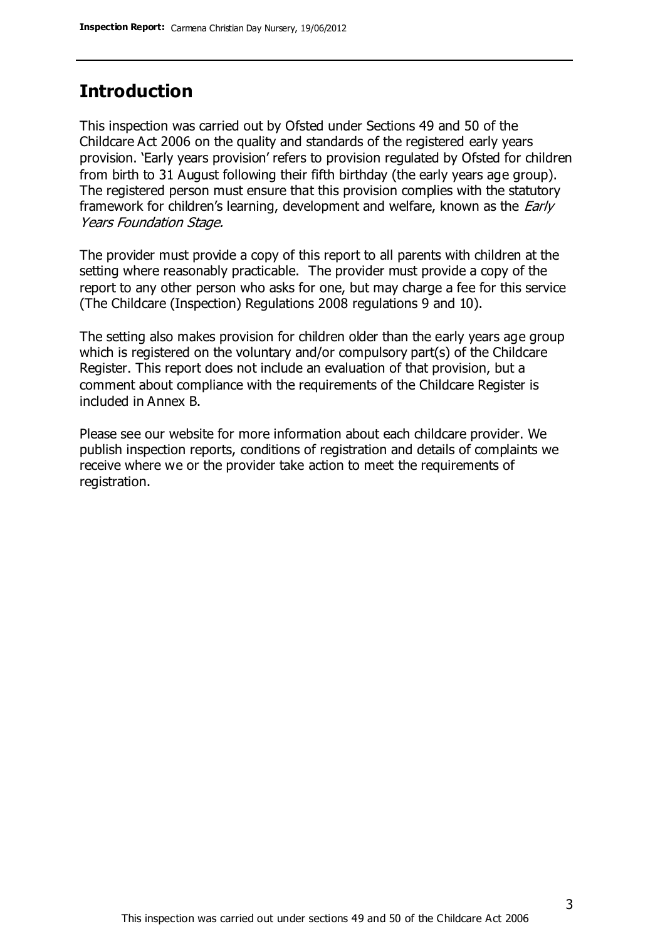# **Introduction**

This inspection was carried out by Ofsted under Sections 49 and 50 of the Childcare Act 2006 on the quality and standards of the registered early years provision. 'Early years provision' refers to provision regulated by Ofsted for children from birth to 31 August following their fifth birthday (the early years age group). The registered person must ensure that this provision complies with the statutory framework for children's learning, development and welfare, known as the *Early* Years Foundation Stage.

The provider must provide a copy of this report to all parents with children at the setting where reasonably practicable. The provider must provide a copy of the report to any other person who asks for one, but may charge a fee for this service (The Childcare (Inspection) Regulations 2008 regulations 9 and 10).

The setting also makes provision for children older than the early years age group which is registered on the voluntary and/or compulsory part(s) of the Childcare Register. This report does not include an evaluation of that provision, but a comment about compliance with the requirements of the Childcare Register is included in Annex B.

Please see our website for more information about each childcare provider. We publish inspection reports, conditions of registration and details of complaints we receive where we or the provider take action to meet the requirements of registration.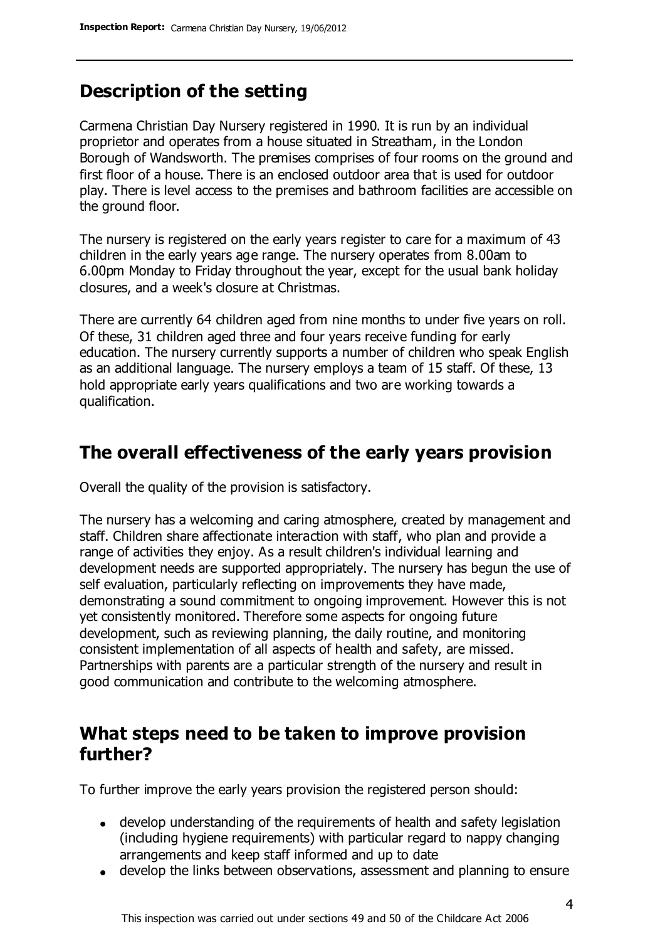# **Description of the setting**

Carmena Christian Day Nursery registered in 1990. It is run by an individual proprietor and operates from a house situated in Streatham, in the London Borough of Wandsworth. The premises comprises of four rooms on the ground and first floor of a house. There is an enclosed outdoor area that is used for outdoor play. There is level access to the premises and bathroom facilities are accessible on the ground floor.

The nursery is registered on the early years register to care for a maximum of 43 children in the early years age range. The nursery operates from 8.00am to 6.00pm Monday to Friday throughout the year, except for the usual bank holiday closures, and a week's closure at Christmas.

There are currently 64 children aged from nine months to under five years on roll. Of these, 31 children aged three and four years receive funding for early education. The nursery currently supports a number of children who speak English as an additional language. The nursery employs a team of 15 staff. Of these, 13 hold appropriate early years qualifications and two are working towards a qualification.

## **The overall effectiveness of the early years provision**

Overall the quality of the provision is satisfactory.

The nursery has a welcoming and caring atmosphere, created by management and staff. Children share affectionate interaction with staff, who plan and provide a range of activities they enjoy. As a result children's individual learning and development needs are supported appropriately. The nursery has begun the use of self evaluation, particularly reflecting on improvements they have made, demonstrating a sound commitment to ongoing improvement. However this is not yet consistently monitored. Therefore some aspects for ongoing future development, such as reviewing planning, the daily routine, and monitoring consistent implementation of all aspects of health and safety, are missed. Partnerships with parents are a particular strength of the nursery and result in good communication and contribute to the welcoming atmosphere.

## **What steps need to be taken to improve provision further?**

To further improve the early years provision the registered person should:

- develop understanding of the requirements of health and safety legislation (including hygiene requirements) with particular regard to nappy changing arrangements and keep staff informed and up to date
- develop the links between observations, assessment and planning to ensure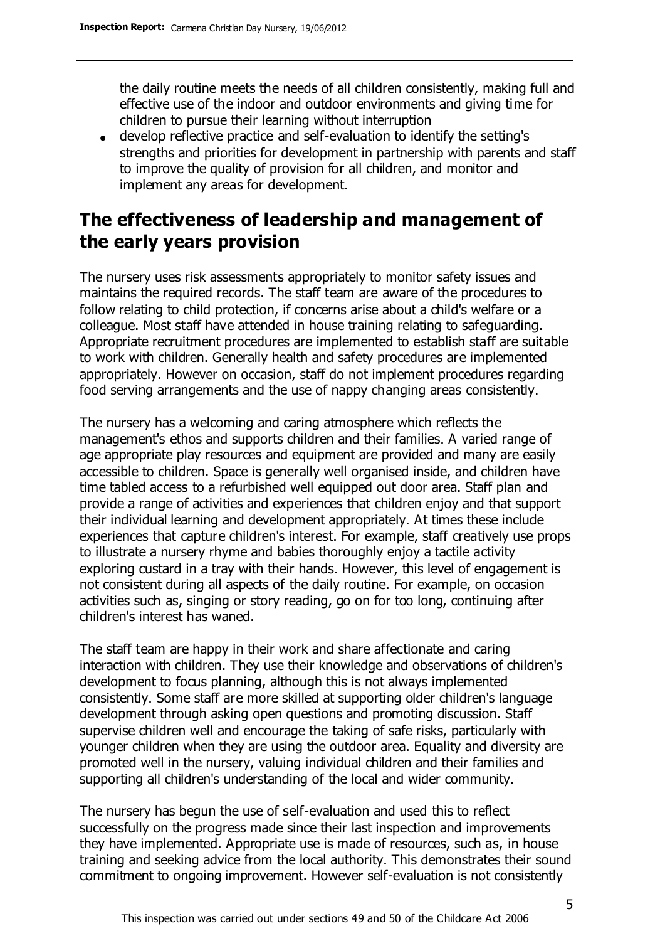the daily routine meets the needs of all children consistently, making full and effective use of the indoor and outdoor environments and giving time for children to pursue their learning without interruption

develop reflective practice and self-evaluation to identify the setting's strengths and priorities for development in partnership with parents and staff to improve the quality of provision for all children, and monitor and implement any areas for development.

# **The effectiveness of leadership and management of the early years provision**

The nursery uses risk assessments appropriately to monitor safety issues and maintains the required records. The staff team are aware of the procedures to follow relating to child protection, if concerns arise about a child's welfare or a colleague. Most staff have attended in house training relating to safeguarding. Appropriate recruitment procedures are implemented to establish staff are suitable to work with children. Generally health and safety procedures are implemented appropriately. However on occasion, staff do not implement procedures regarding food serving arrangements and the use of nappy changing areas consistently.

The nursery has a welcoming and caring atmosphere which reflects the management's ethos and supports children and their families. A varied range of age appropriate play resources and equipment are provided and many are easily accessible to children. Space is generally well organised inside, and children have time tabled access to a refurbished well equipped out door area. Staff plan and provide a range of activities and experiences that children enjoy and that support their individual learning and development appropriately. At times these include experiences that capture children's interest. For example, staff creatively use props to illustrate a nursery rhyme and babies thoroughly enjoy a tactile activity exploring custard in a tray with their hands. However, this level of engagement is not consistent during all aspects of the daily routine. For example, on occasion activities such as, singing or story reading, go on for too long, continuing after children's interest has waned.

The staff team are happy in their work and share affectionate and caring interaction with children. They use their knowledge and observations of children's development to focus planning, although this is not always implemented consistently. Some staff are more skilled at supporting older children's language development through asking open questions and promoting discussion. Staff supervise children well and encourage the taking of safe risks, particularly with younger children when they are using the outdoor area. Equality and diversity are promoted well in the nursery, valuing individual children and their families and supporting all children's understanding of the local and wider community.

The nursery has begun the use of self-evaluation and used this to reflect successfully on the progress made since their last inspection and improvements they have implemented. Appropriate use is made of resources, such as, in house training and seeking advice from the local authority. This demonstrates their sound commitment to ongoing improvement. However self-evaluation is not consistently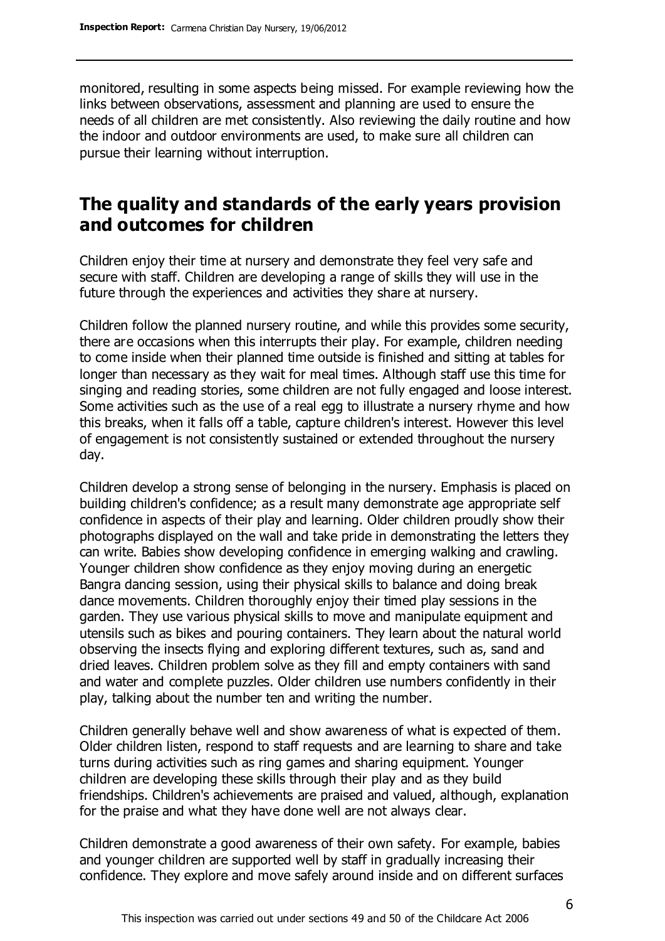monitored, resulting in some aspects being missed. For example reviewing how the links between observations, assessment and planning are used to ensure the needs of all children are met consistently. Also reviewing the daily routine and how the indoor and outdoor environments are used, to make sure all children can pursue their learning without interruption.

# **The quality and standards of the early years provision and outcomes for children**

Children enjoy their time at nursery and demonstrate they feel very safe and secure with staff. Children are developing a range of skills they will use in the future through the experiences and activities they share at nursery.

Children follow the planned nursery routine, and while this provides some security, there are occasions when this interrupts their play. For example, children needing to come inside when their planned time outside is finished and sitting at tables for longer than necessary as they wait for meal times. Although staff use this time for singing and reading stories, some children are not fully engaged and loose interest. Some activities such as the use of a real egg to illustrate a nursery rhyme and how this breaks, when it falls off a table, capture children's interest. However this level of engagement is not consistently sustained or extended throughout the nursery day.

Children develop a strong sense of belonging in the nursery. Emphasis is placed on building children's confidence; as a result many demonstrate age appropriate self confidence in aspects of their play and learning. Older children proudly show their photographs displayed on the wall and take pride in demonstrating the letters they can write. Babies show developing confidence in emerging walking and crawling. Younger children show confidence as they enjoy moving during an energetic Bangra dancing session, using their physical skills to balance and doing break dance movements. Children thoroughly enjoy their timed play sessions in the garden. They use various physical skills to move and manipulate equipment and utensils such as bikes and pouring containers. They learn about the natural world observing the insects flying and exploring different textures, such as, sand and dried leaves. Children problem solve as they fill and empty containers with sand and water and complete puzzles. Older children use numbers confidently in their play, talking about the number ten and writing the number.

Children generally behave well and show awareness of what is expected of them. Older children listen, respond to staff requests and are learning to share and take turns during activities such as ring games and sharing equipment. Younger children are developing these skills through their play and as they build friendships. Children's achievements are praised and valued, although, explanation for the praise and what they have done well are not always clear.

Children demonstrate a good awareness of their own safety. For example, babies and younger children are supported well by staff in gradually increasing their confidence. They explore and move safely around inside and on different surfaces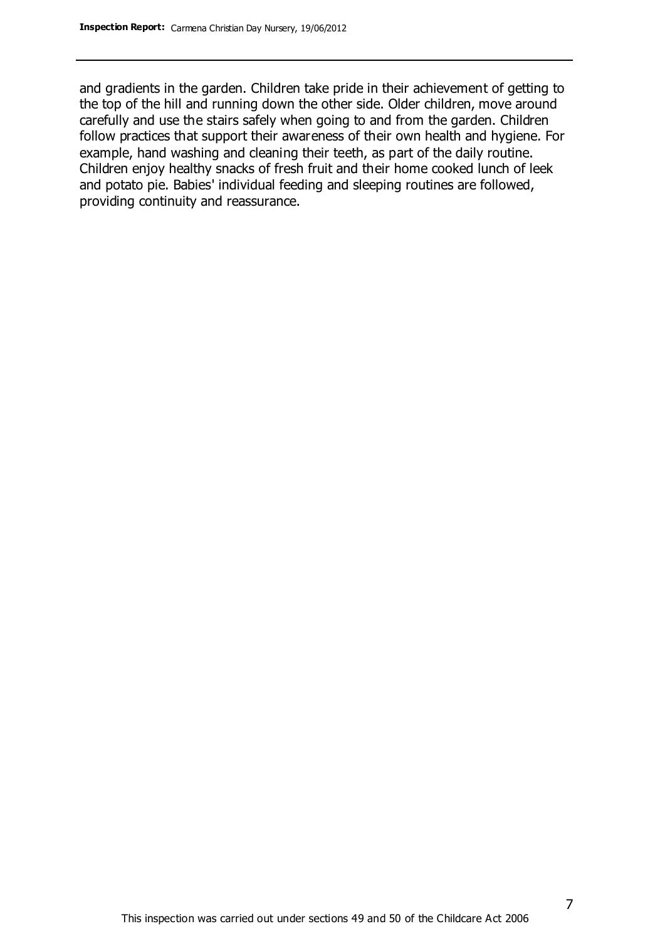and gradients in the garden. Children take pride in their achievement of getting to the top of the hill and running down the other side. Older children, move around carefully and use the stairs safely when going to and from the garden. Children follow practices that support their awareness of their own health and hygiene. For example, hand washing and cleaning their teeth, as part of the daily routine. Children enjoy healthy snacks of fresh fruit and their home cooked lunch of leek and potato pie. Babies' individual feeding and sleeping routines are followed, providing continuity and reassurance.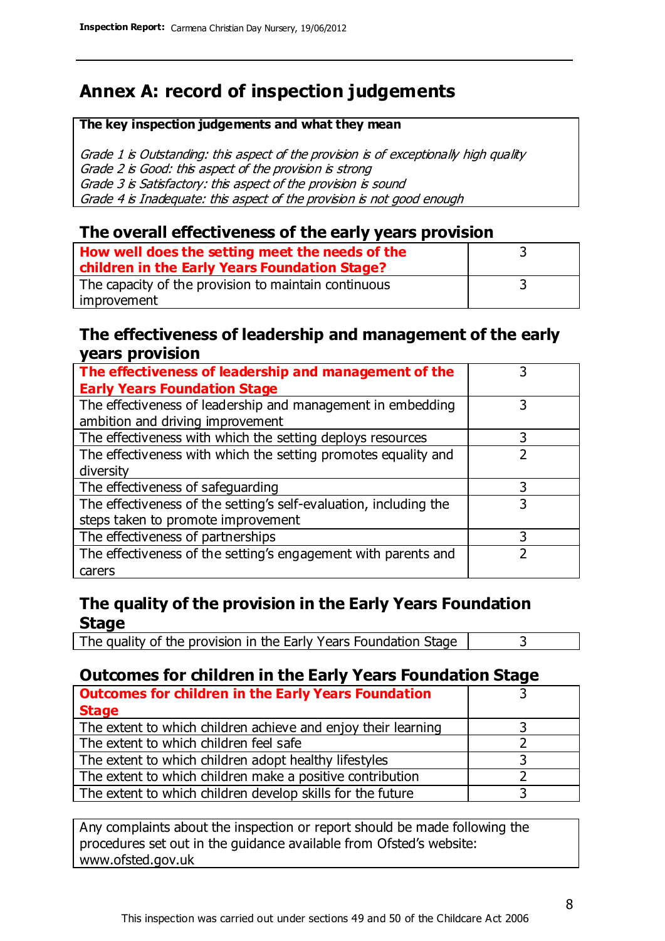# **Annex A: record of inspection judgements**

#### **The key inspection judgements and what they mean**

Grade 1 is Outstanding: this aspect of the provision is of exceptionally high quality Grade 2 is Good: this aspect of the provision is strong Grade 3 is Satisfactory: this aspect of the provision is sound Grade 4 is Inadequate: this aspect of the provision is not good enough

### **The overall effectiveness of the early years provision**

| How well does the setting meet the needs of the<br>children in the Early Years Foundation Stage? |  |
|--------------------------------------------------------------------------------------------------|--|
| The capacity of the provision to maintain continuous                                             |  |
| improvement                                                                                      |  |

### **The effectiveness of leadership and management of the early years provision**

| The effectiveness of leadership and management of the                                           |   |
|-------------------------------------------------------------------------------------------------|---|
| <b>Early Years Foundation Stage</b>                                                             |   |
| The effectiveness of leadership and management in embedding<br>ambition and driving improvement |   |
| The effectiveness with which the setting deploys resources                                      |   |
| The effectiveness with which the setting promotes equality and                                  |   |
| diversity                                                                                       |   |
| The effectiveness of safeguarding                                                               | 3 |
| The effectiveness of the setting's self-evaluation, including the                               | 3 |
| steps taken to promote improvement                                                              |   |
| The effectiveness of partnerships                                                               | 3 |
| The effectiveness of the setting's engagement with parents and                                  |   |
| carers                                                                                          |   |

## **The quality of the provision in the Early Years Foundation Stage**

The quality of the provision in the Early Years Foundation Stage  $\vert$  3

## **Outcomes for children in the Early Years Foundation Stage**

| <b>Outcomes for children in the Early Years Foundation</b>    |  |
|---------------------------------------------------------------|--|
| <b>Stage</b>                                                  |  |
| The extent to which children achieve and enjoy their learning |  |
| The extent to which children feel safe                        |  |
| The extent to which children adopt healthy lifestyles         |  |
| The extent to which children make a positive contribution     |  |
| The extent to which children develop skills for the future    |  |

Any complaints about the inspection or report should be made following the procedures set out in the guidance available from Ofsted's website: www.ofsted.gov.uk